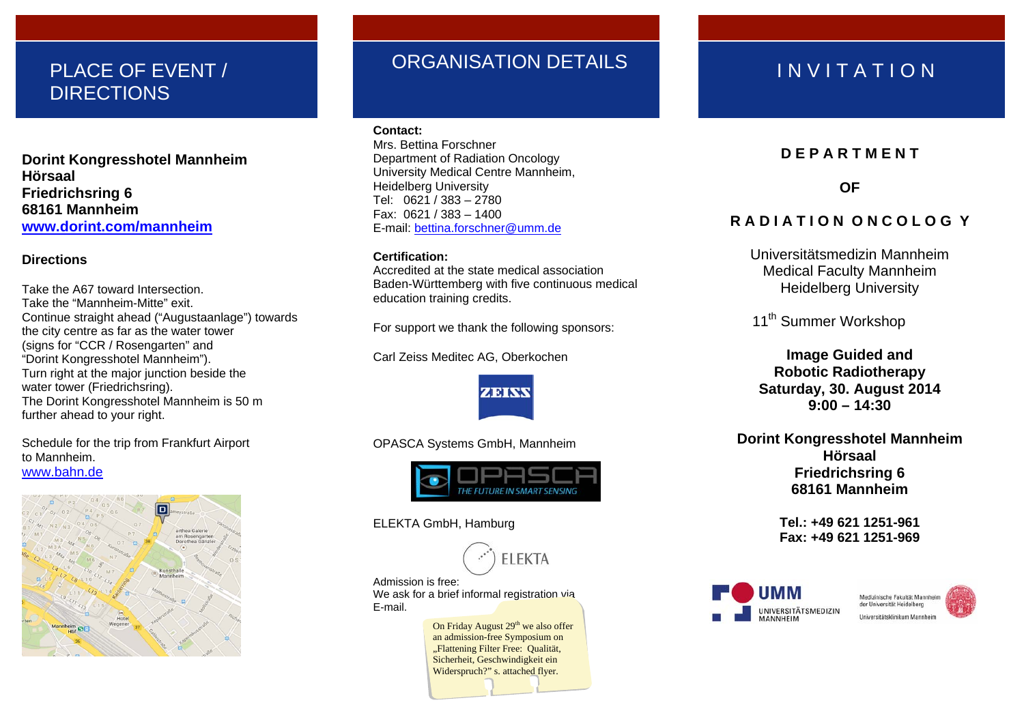## PLACE OF EVENT / **DIRECTIONS**

**Dorint Kongresshotel Mannheim Hörsaal Friedrichsring 6 68161 Mannheim www.dorint.com/mannheim**

## **Directions**

Take the A67 toward Intersection.Take the "Mannheim-Mitte" exit. Continue straight ahead ("Augustaanlage") towards the city centre as far as the water tower (signs for "CCR / Rosengarten" and "Dorint Kongresshotel Mannheim"). Turn right at the major junction beside the water tower (Friedrichsring). The Dorint Kongresshotel Mannheim is 50 m further ahead to your right.

Schedule for the trip from Frankfurt Airport to Mannheim. www.bahn.de



## ORGANISATION DETAILS IN VITATION

### **Contact:**

Mrs. Bettina Forschner Department of Radiation Oncology University Medical Centre Mannheim, Heidelberg University Tel: 0621 / 383 – 2780 Fax: 0621 / 383 – 1400 E-mail: <u>bettina.forschner@umm.de</u>

## **Certification:**

Accredited at the state medical association Baden-Württemberg with five continuous medical education training credits.

For support we thank the following sponsors:

Carl Zeiss Meditec AG, Oberkochen



OPASCA Systems GmbH, Mannheim



ELEKTA GmbH, Hamburg



Admission is free: We ask for a brief informal registration via E-mail.

> On Friday August 29<sup>th</sup> we also offer an admission-free Symposium on "Flattening Filter Free: Qualität, Sicherheit, Geschwindigkeit ein Widerspruch?" s. attached flyer.

## **D E P A R T M E N T**

**OF** 

## **R A D I A T I O N O N C O L O G Y**

Universitätsmedizin Mannheim Medical Faculty Mannheim Heidelberg University

11<sup>th</sup> Summer Workshop

**Image Guided and Robotic Radiotherapy Saturday, 30. August 2014 9:00 – 14:30** 

**Dorint Kongresshotel Mannheim Hörsaal Friedrichsring 6 68161 Mannheim** 

> **Tel.: +49 621 1251-961 Fax: +49 621 1251-969**